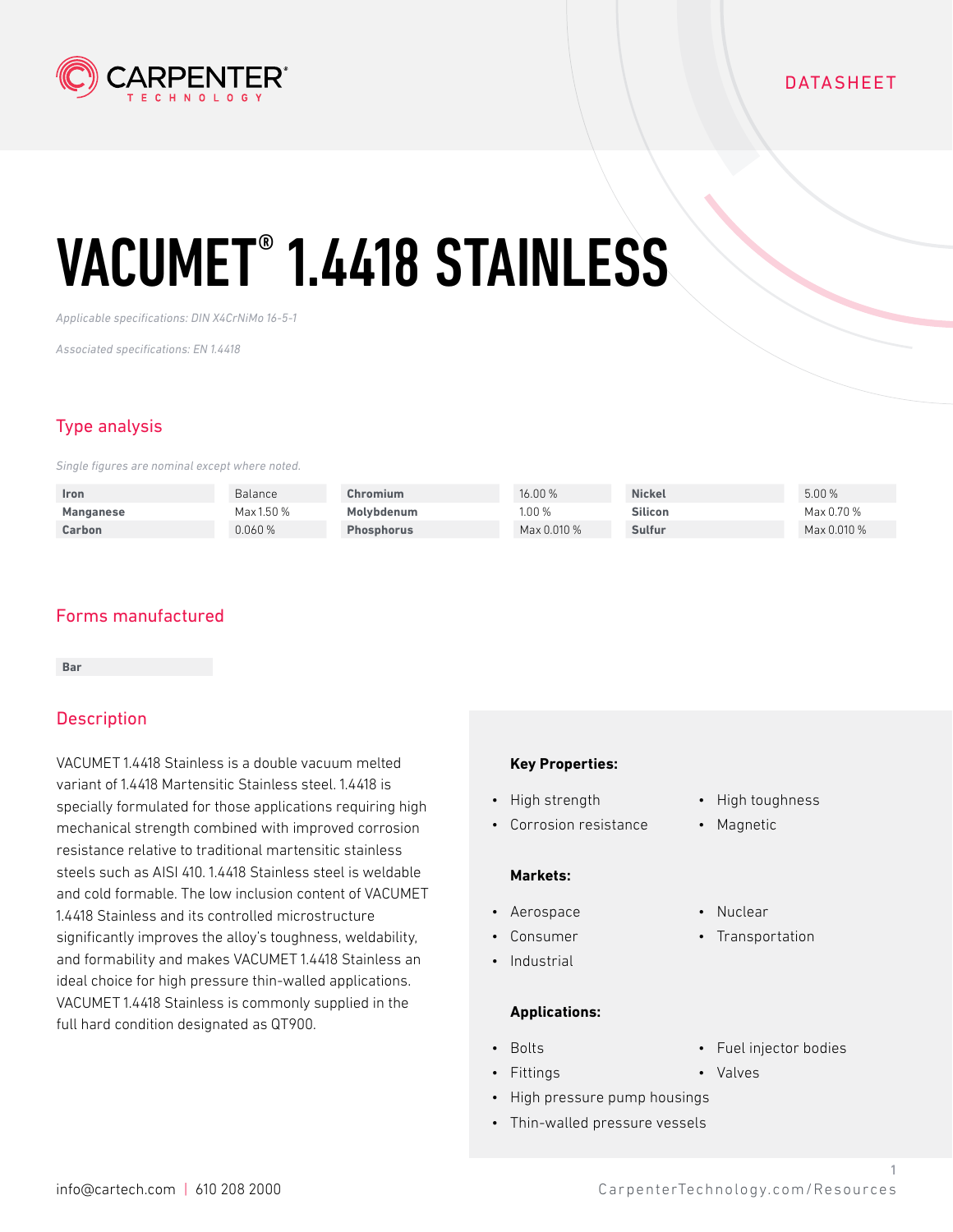

*Applicable specifications: DIN X4CrNiMo 16-5-1*

*Associated specifications: EN 1.4418*

## Type analysis

*Single figures are nominal except where noted.*

| <b>Iron</b> | Balance    | Chromium          | 16.00 %     | <b>Nickel</b>  | 5.00%       |
|-------------|------------|-------------------|-------------|----------------|-------------|
| Manganese   | Max 1.50 % | Molvbdenum        | 1.00 %      | <b>Silicon</b> | Max 0.70 %  |
| Carbon      | 0.060%     | <b>Phosphorus</b> | Max 0.010 % | Sulfur         | Max 0.010 % |

## Forms manufactured

**Bar**

## **Description**

VACUMET 1.4418 Stainless is a double vacuum melted variant of 1.4418 Martensitic Stainless steel. 1.4418 is specially formulated for those applications requiring high mechanical strength combined with improved corrosion resistance relative to traditional martensitic stainless steels such as AISI 410. 1.4418 Stainless steel is weldable and cold formable. The low inclusion content of VACUMET 1.4418 Stainless and its controlled microstructure significantly improves the alloy's toughness, weldability, and formability and makes VACUMET 1.4418 Stainless an ideal choice for high pressure thin-walled applications. VACUMET 1.4418 Stainless is commonly supplied in the full hard condition designated as QT900.

#### **Key Properties:**

- High strength
- Corrosion resistance

#### **Markets:**

- Aerospace
- Consumer
- Industrial

#### **Applications:**

- Bolts
- Fittings
	- High pressure pump housings
- Thin-walled pressure vessels
- High toughness
- Magnetic
- Nuclear
- Transportation
- Fuel injector bodies

1

• Valves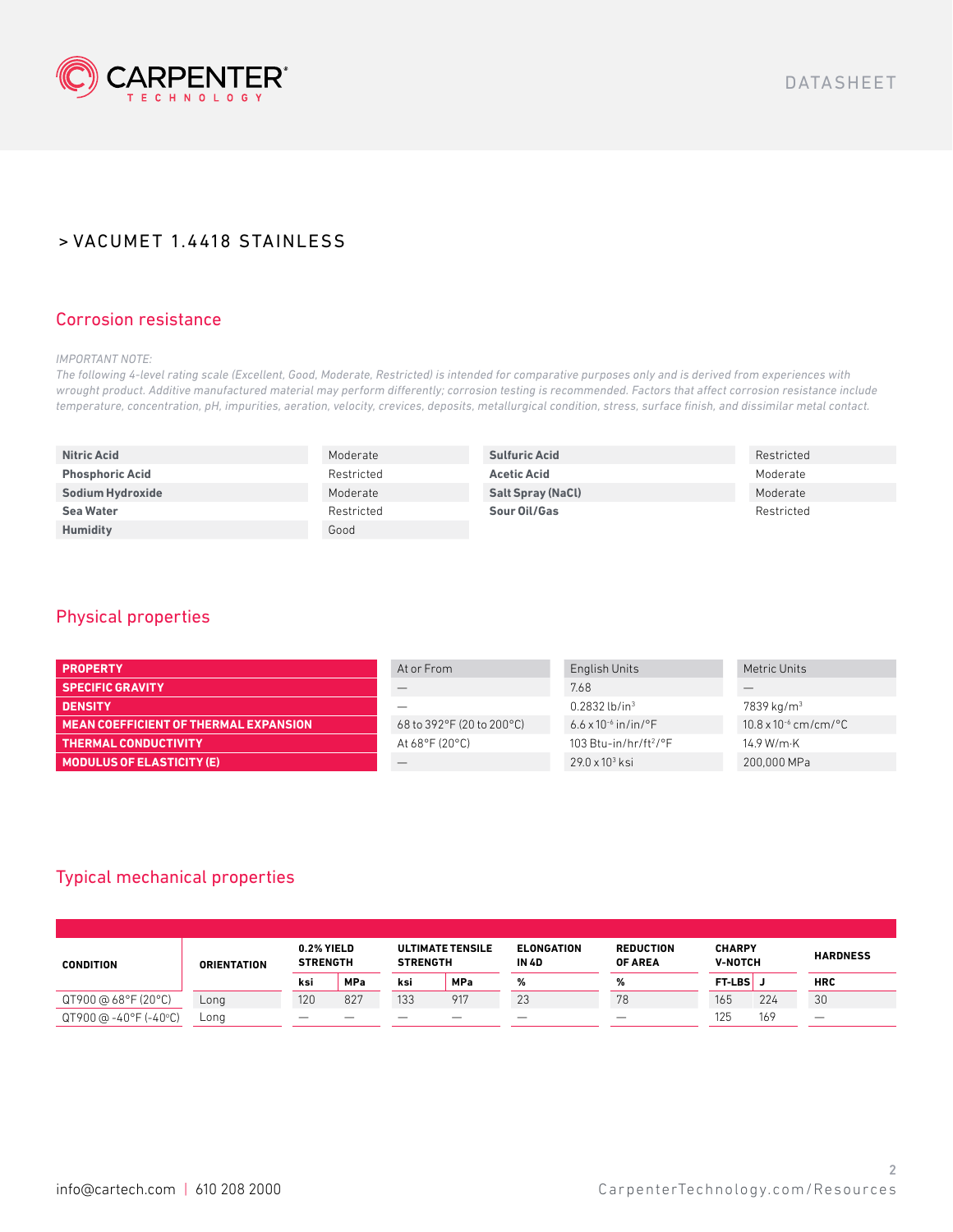

#### Corrosion resistance

*IMPORTANT NOTE:*

*The following 4-level rating scale (Excellent, Good, Moderate, Restricted) is intended for comparative purposes only and is derived from experiences with wrought product. Additive manufactured material may perform differently; corrosion testing is recommended. Factors that affect corrosion resistance include temperature, concentration, pH, impurities, aeration, velocity, crevices, deposits, metallurgical condition, stress, surface finish, and dissimilar metal contact.*

| <b>Nitric Acid</b>     | Moderate   | <b>Sulfuric Acid</b>     | Restricted |
|------------------------|------------|--------------------------|------------|
| <b>Phosphoric Acid</b> | Restricted | <b>Acetic Acid</b>       | Moderate   |
| Sodium Hydroxide       | Moderate   | <b>Salt Spray (NaCl)</b> | Moderate   |
| <b>Sea Water</b>       | Restricted | Sour Oil/Gas             | Restricted |
| <b>Humidity</b>        | Good       |                          |            |

#### Physical properties

| <b>PROPERTY</b>                       | At or From                          | English Units                                | Metric Units                   |
|---------------------------------------|-------------------------------------|----------------------------------------------|--------------------------------|
| <b>SPECIFIC GRAVITY</b>               |                                     | 7.68                                         |                                |
| <b>DENSITY</b>                        |                                     | $0.2832$ lb/in <sup>3</sup>                  | $7839$ kg/m <sup>3</sup>       |
| MEAN COEFFICIENT OF THERMAL EXPANSION | 68 to 392°F (20 to 200°C)           | 6.6 x 10 <sup>-6</sup> in/in/ <sup>o</sup> F | $10.8 \times 10^{-6}$ cm/cm/°C |
| <b>THERMAL CONDUCTIVITY</b>           | At $68^{\circ}$ F (20 $^{\circ}$ C) | 103 Btu-in/hr/ft <sup>2</sup> /°F            | 14.9 W/m·K                     |
| <b>MODULUS OF ELASTICITY (E)</b>      |                                     | $29.0 \times 10^3$ ksi                       | 200,000 MPa                    |

## Typical mechanical properties

| <b>CONDITION</b>      | <b>ORIENTATION</b> | 0.2% YIELD<br><b>STRENGTH</b> |            | <b>STRENGTH</b> | <b>ULTIMATE TENSILE</b> | <b>ELONGATION</b><br><b>IN 4D</b> | <b>REDUCTION</b><br><b>OF AREA</b> | <b>CHARPY</b><br><b>V-NOTCH</b> |     | <b>HARDNESS</b> |
|-----------------------|--------------------|-------------------------------|------------|-----------------|-------------------------|-----------------------------------|------------------------------------|---------------------------------|-----|-----------------|
|                       |                    | ksi                           | <b>MPa</b> | ksi             | <b>MPa</b>              | %                                 | %                                  | <b>FT-LBS</b>                   |     | <b>HRC</b>      |
| QT900 @ 68°F (20°C)   | Long               | 120                           | 827        | 133             | 917                     | 23                                | 78                                 | 165                             | 224 | 30              |
| QT900 @ -40°F (-40°C) | Lona               |                               |            |                 |                         |                                   |                                    | 125                             | 169 |                 |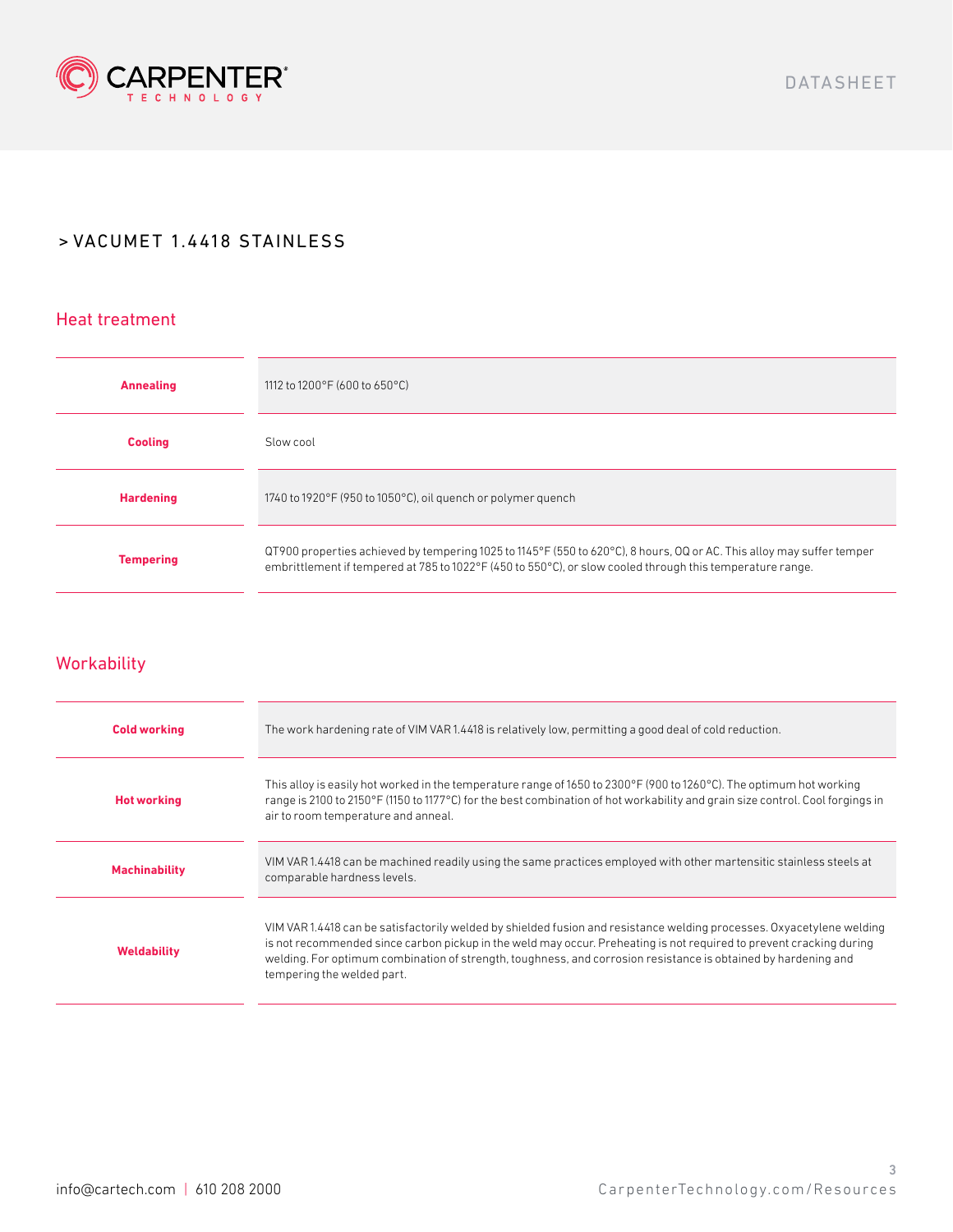

### Heat treatment

| <b>Annealing</b> | 1112 to 1200°F (600 to 650°C)                                                                                                                                                                                                      |
|------------------|------------------------------------------------------------------------------------------------------------------------------------------------------------------------------------------------------------------------------------|
| <b>Cooling</b>   | Slow cool                                                                                                                                                                                                                          |
| <b>Hardening</b> | 1740 to 1920°F (950 to 1050°C), oil quench or polymer quench                                                                                                                                                                       |
| <b>Tempering</b> | QT900 properties achieved by tempering 1025 to 1145°F (550 to 620°C), 8 hours, OQ or AC. This alloy may suffer temper<br>embrittlement if tempered at 785 to 1022°F (450 to 550°C), or slow cooled through this temperature range. |

## **Workability**

| <b>Cold working</b>  | The work hardening rate of VIM VAR 1.4418 is relatively low, permitting a good deal of cold reduction.                                                                                                                                                                                                                                                                                       |
|----------------------|----------------------------------------------------------------------------------------------------------------------------------------------------------------------------------------------------------------------------------------------------------------------------------------------------------------------------------------------------------------------------------------------|
| <b>Hot working</b>   | This alloy is easily hot worked in the temperature range of 1650 to 2300°F (900 to 1260°C). The optimum hot working<br>range is 2100 to 2150°F (1150 to 1177°C) for the best combination of hot workability and grain size control. Cool forgings in<br>air to room temperature and anneal.                                                                                                  |
| <b>Machinability</b> | VIM VAR 1.4418 can be machined readily using the same practices employed with other martensitic stainless steels at<br>comparable hardness levels.                                                                                                                                                                                                                                           |
| <b>Weldability</b>   | VIM VAR 1.4418 can be satisfactorily welded by shielded fusion and resistance welding processes. Oxyacetylene welding<br>is not recommended since carbon pickup in the weld may occur. Preheating is not required to prevent cracking during<br>welding. For optimum combination of strength, toughness, and corrosion resistance is obtained by hardening and<br>tempering the welded part. |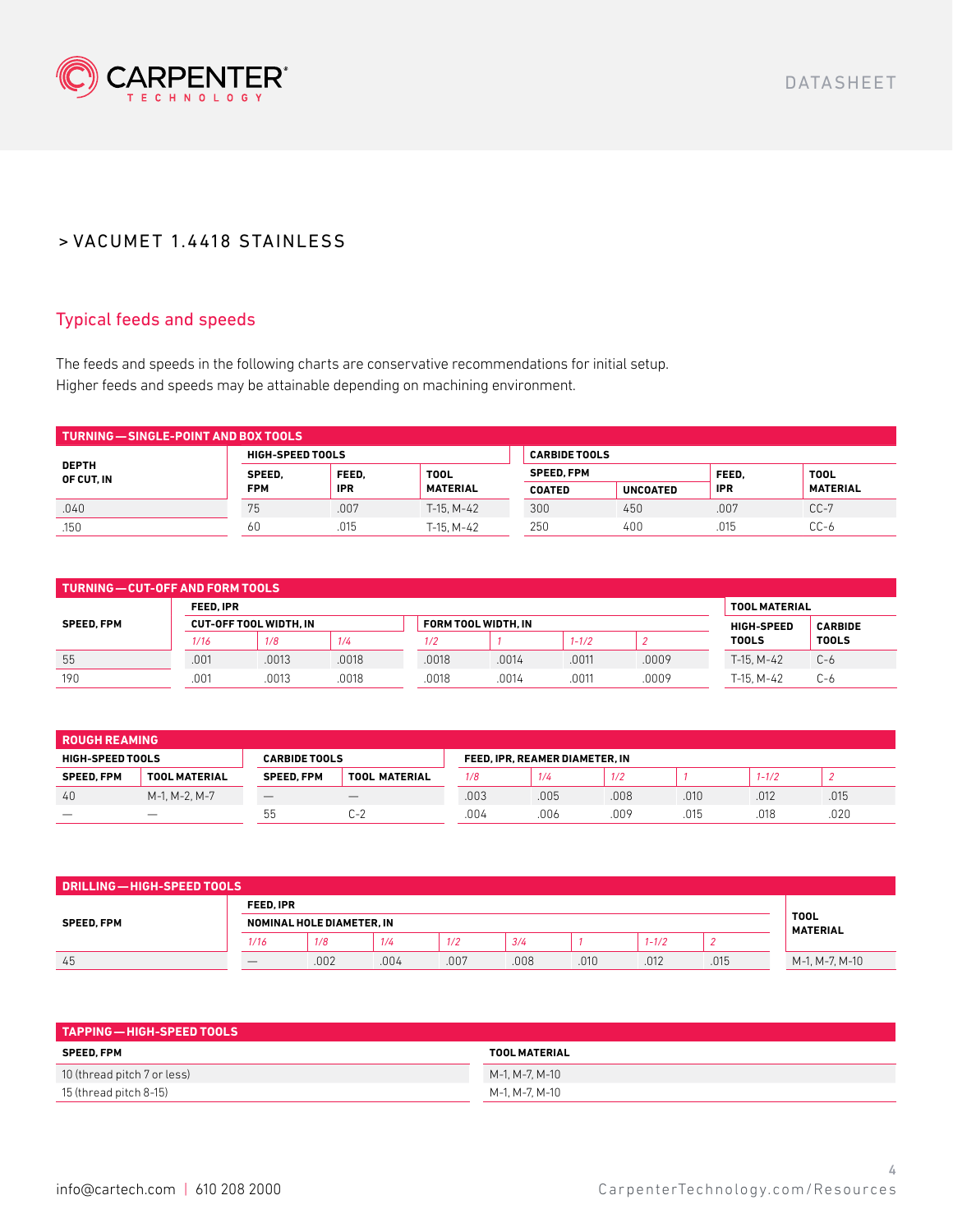

## Typical feeds and speeds

The feeds and speeds in the following charts are conservative recommendations for initial setup. Higher feeds and speeds may be attainable depending on machining environment.

| TURNING — SINGLE-POINT AND BOX TOOLS |                                |            |                   |               |                      |             |                 |  |  |  |
|--------------------------------------|--------------------------------|------------|-------------------|---------------|----------------------|-------------|-----------------|--|--|--|
| <b>DEPTH</b><br>OF CUT. IN           | <b>HIGH-SPEED TOOLS</b>        |            |                   |               | <b>CARBIDE TOOLS</b> |             |                 |  |  |  |
|                                      | FEED.<br><b>TOOL</b><br>SPEED. |            | <b>SPEED. FPM</b> |               | FEED.                | <b>TOOL</b> |                 |  |  |  |
|                                      | <b>FPM</b>                     | <b>IPR</b> | <b>MATERIAL</b>   | <b>COATED</b> | <b>UNCOATED</b>      | <b>IPR</b>  | <b>MATERIAL</b> |  |  |  |
| .040                                 | 75                             | .007       | $T-15. M-42$      | 300           | 450                  | .007        | $CC-7$          |  |  |  |
| .150                                 | 60                             | .015       | T-15. M-42        | 250           | 400                  | .015        | $CC-6$          |  |  |  |

| TURNING—CUT-OFF AND FORM TOOLS |                  |                               |       |                      |                     |                   |                |              |              |  |
|--------------------------------|------------------|-------------------------------|-------|----------------------|---------------------|-------------------|----------------|--------------|--------------|--|
| <b>SPEED. FPM</b>              | <b>FEED. IPR</b> |                               |       | <b>TOOL MATERIAL</b> |                     |                   |                |              |              |  |
|                                |                  | <b>CUT-OFF TOOL WIDTH. IN</b> |       |                      | FORM TOOL WIDTH. IN | <b>HIGH-SPEED</b> | <b>CARBIDE</b> |              |              |  |
|                                | 1/16             | 1/8                           | 1/4   | 1/2                  |                     | $1 - 1/2$         |                | <b>TOOLS</b> | <b>TOOLS</b> |  |
| 55                             | .001             | .0013                         | .0018 | .0018                | .0014               | .0011             | .0009          | $T-15. M-42$ | $C-6$        |  |
| 190                            | .001             | .0013                         | .0018 | .0018                | .0014               | .0011             | .0009          | $T-15. M-42$ | $C-6$        |  |

| <b>ROUGH REAMING</b>                            |                                 |                   |                       |                                |      |     |      |           |      |  |
|-------------------------------------------------|---------------------------------|-------------------|-----------------------|--------------------------------|------|-----|------|-----------|------|--|
| <b>HIGH-SPEED TOOLS</b><br><b>CARBIDE TOOLS</b> |                                 |                   |                       | FEED. IPR. REAMER DIAMETER. IN |      |     |      |           |      |  |
| <b>SPEED. FPM</b>                               | <b>TOOL MATERIAL</b>            | <b>SPEED. FPM</b> | <b>TOOL MATERIAL</b>  | 1/8                            | 1/4  | 1/2 |      | $1 - 1/2$ |      |  |
| 40                                              | M-1, M-2, M-7                   |                   |                       | .003                           | .005 | 008 | .010 | .012      | .015 |  |
|                                                 | $\hspace{0.1mm}-\hspace{0.1mm}$ | ხხ                | $\sim$ $\sim$<br>l.-7 | .004                           | .006 | 009 | 015  | 018       | .020 |  |

| DRILLING - HIGH-SPEED TOOLS |                           |      |                                |      |      |      |           |      |                |
|-----------------------------|---------------------------|------|--------------------------------|------|------|------|-----------|------|----------------|
| <b>SPEED, FPM</b>           | <b>FEED.IPR</b>           |      |                                |      |      |      |           |      |                |
|                             | NOMINAL HOLE DIAMETER, IN |      | <b>TOOL</b><br><b>MATERIAL</b> |      |      |      |           |      |                |
|                             | 1/16                      | 1/8  | 1/4                            | 1/2  | 3/4  |      | $1 - 1/2$ |      |                |
| 45                          |                           | .002 | .004                           | .007 | .008 | .010 | .012      | .015 | M-1, M-7, M-10 |

| $\blacksquare$ TAPPING — HIGH-SPEED TOOLS |                      |
|-------------------------------------------|----------------------|
| <b>SPEED. FPM</b>                         | <b>TOOL MATERIAL</b> |
| 10 (thread pitch 7 or less)               | M-1. M-7. M-10       |
| 15 (thread pitch 8-15)                    | M-1. M-7. M-10       |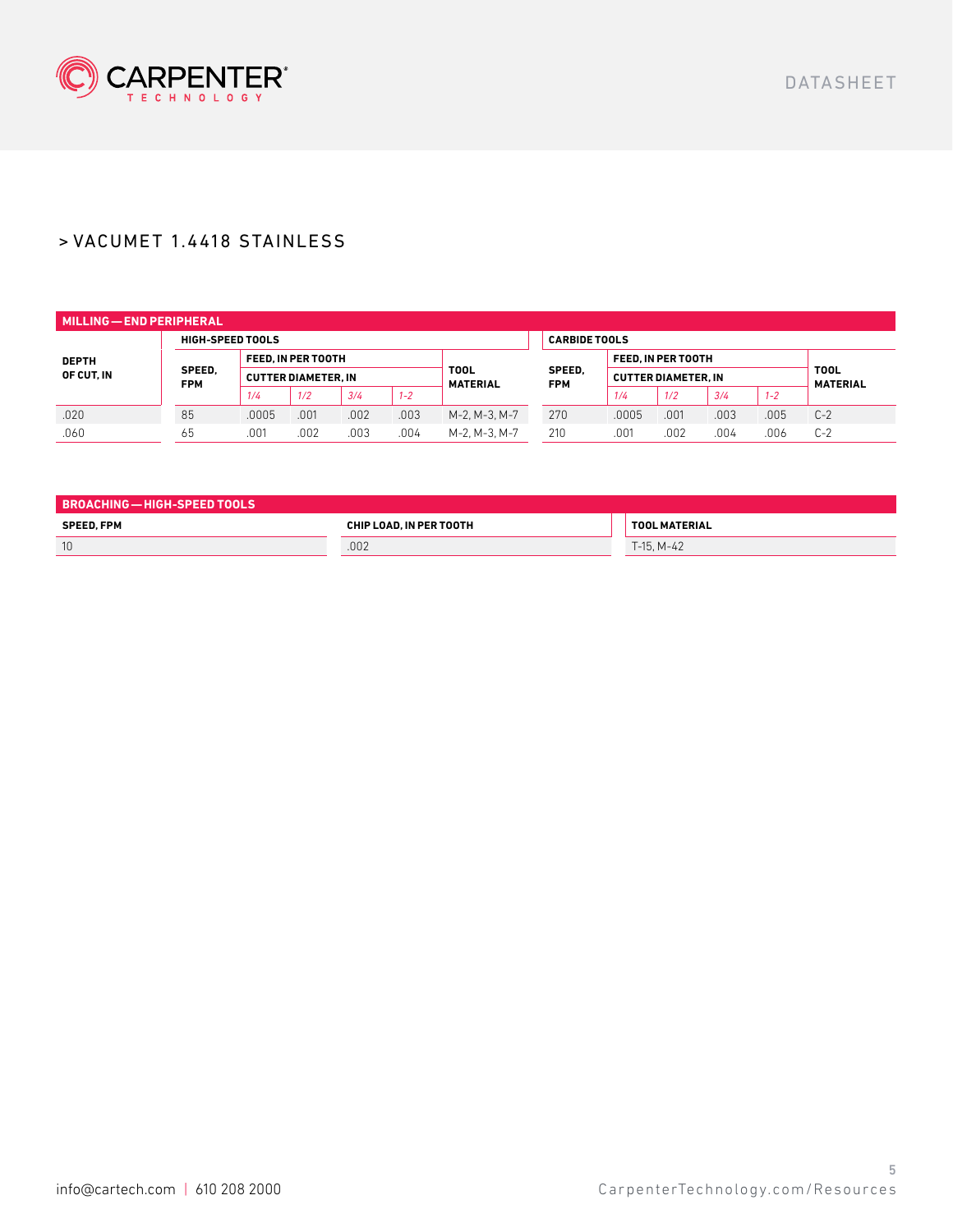

| MILLING - END PERIPHERAL   |                         |                                                  |      |      |                                |                      |                            |                      |      |      |                                |       |
|----------------------------|-------------------------|--------------------------------------------------|------|------|--------------------------------|----------------------|----------------------------|----------------------|------|------|--------------------------------|-------|
|                            | <b>HIGH-SPEED TOOLS</b> |                                                  |      |      |                                |                      |                            | <b>CARBIDE TOOLS</b> |      |      |                                |       |
| <b>DEPTH</b><br>OF CUT. IN | SPEED.<br><b>FPM</b>    | FEED. IN PER TOOTH<br><b>CUTTER DIAMETER. IN</b> |      |      |                                |                      | FEED. IN PER TOOTH         |                      |      |      | <b>TOOL</b><br><b>MATERIAL</b> |       |
|                            |                         |                                                  |      |      | <b>TOOL</b><br><b>MATERIAL</b> | SPEED.<br><b>FPM</b> | <b>CUTTER DIAMETER. IN</b> |                      |      |      |                                |       |
|                            |                         | 1/4                                              | 1/2  | 3/4  | $1 - 2$                        |                      |                            | 1/4                  | 1/2  | 3/4  | $1 - 2$                        |       |
| .020                       | 85                      | .0005                                            | .001 | .002 | .003                           | M-2, M-3, M-7        | 270                        | .0005                | .001 | .003 | .005                           | $C-2$ |
| .060                       | 65                      | .001                                             | .002 | .003 | .004                           | M-2, M-3, M-7        | 210                        | .001                 | .002 | .004 | .006                           | $C-2$ |

| BROACHING — HIGH-SPEED TOOLS |                         |                      |
|------------------------------|-------------------------|----------------------|
| <b>SPEED. FPM</b>            | CHIP LOAD. IN PER TOOTH | <b>TOOL MATERIAL</b> |
| 10                           | .002                    | $T-15. M-42$         |